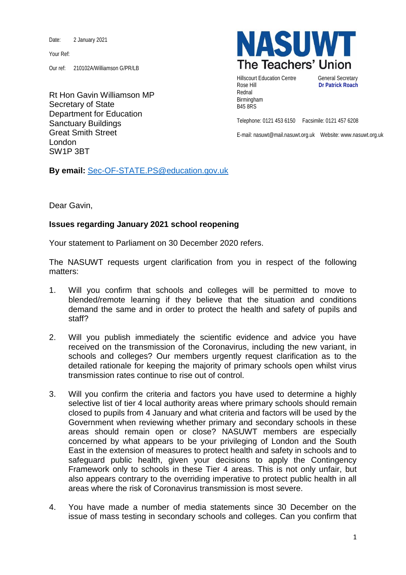Date: 2 January 2021

Your Ref:

Our ref: 210102A/Williamson G/PR/LB

Rt Hon Gavin Williamson MP Secretary of State Department for Education Sanctuary Buildings Great Smith Street London SW1P 3BT



Hillscourt Education Centre General Secretary Rose Hill **Dr Patrick Roach** Rednal Birmingham B45 8RS

Telephone: 0121 453 6150 Facsimile: 0121 457 6208

E-mail: nasuwt@mail.nasuwt.org.uk Website: www.nasuwt.org.uk

**By email:** [Sec-OF-STATE.PS@education.gov.uk](mailto:Sec-OF-STATE.PS@education.gov.uk)

Dear Gavin,

## **Issues regarding January 2021 school reopening**

Your statement to Parliament on 30 December 2020 refers.

The NASUWT requests urgent clarification from you in respect of the following matters:

- 1. Will you confirm that schools and colleges will be permitted to move to blended/remote learning if they believe that the situation and conditions demand the same and in order to protect the health and safety of pupils and staff?
- 2. Will you publish immediately the scientific evidence and advice you have received on the transmission of the Coronavirus, including the new variant, in schools and colleges? Our members urgently request clarification as to the detailed rationale for keeping the majority of primary schools open whilst virus transmission rates continue to rise out of control.
- 3. Will you confirm the criteria and factors you have used to determine a highly selective list of tier 4 local authority areas where primary schools should remain closed to pupils from 4 January and what criteria and factors will be used by the Government when reviewing whether primary and secondary schools in these areas should remain open or close? NASUWT members are especially concerned by what appears to be your privileging of London and the South East in the extension of measures to protect health and safety in schools and to safeguard public health, given your decisions to apply the Contingency Framework only to schools in these Tier 4 areas. This is not only unfair, but also appears contrary to the overriding imperative to protect public health in all areas where the risk of Coronavirus transmission is most severe.
- 4. You have made a number of media statements since 30 December on the issue of mass testing in secondary schools and colleges. Can you confirm that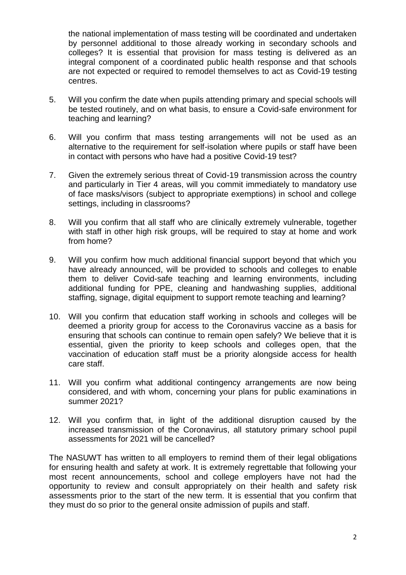the national implementation of mass testing will be coordinated and undertaken by personnel additional to those already working in secondary schools and colleges? It is essential that provision for mass testing is delivered as an integral component of a coordinated public health response and that schools are not expected or required to remodel themselves to act as Covid-19 testing centres.

- 5. Will you confirm the date when pupils attending primary and special schools will be tested routinely, and on what basis, to ensure a Covid-safe environment for teaching and learning?
- 6. Will you confirm that mass testing arrangements will not be used as an alternative to the requirement for self-isolation where pupils or staff have been in contact with persons who have had a positive Covid-19 test?
- 7. Given the extremely serious threat of Covid-19 transmission across the country and particularly in Tier 4 areas, will you commit immediately to mandatory use of face masks/visors (subject to appropriate exemptions) in school and college settings, including in classrooms?
- 8. Will you confirm that all staff who are clinically extremely vulnerable, together with staff in other high risk groups, will be required to stay at home and work from home?
- 9. Will you confirm how much additional financial support beyond that which you have already announced, will be provided to schools and colleges to enable them to deliver Covid-safe teaching and learning environments, including additional funding for PPE, cleaning and handwashing supplies, additional staffing, signage, digital equipment to support remote teaching and learning?
- 10. Will you confirm that education staff working in schools and colleges will be deemed a priority group for access to the Coronavirus vaccine as a basis for ensuring that schools can continue to remain open safely? We believe that it is essential, given the priority to keep schools and colleges open, that the vaccination of education staff must be a priority alongside access for health care staff.
- 11. Will you confirm what additional contingency arrangements are now being considered, and with whom, concerning your plans for public examinations in summer 2021?
- 12. Will you confirm that, in light of the additional disruption caused by the increased transmission of the Coronavirus, all statutory primary school pupil assessments for 2021 will be cancelled?

The NASUWT has written to all employers to remind them of their legal obligations for ensuring health and safety at work. It is extremely regrettable that following your most recent announcements, school and college employers have not had the opportunity to review and consult appropriately on their health and safety risk assessments prior to the start of the new term. It is essential that you confirm that they must do so prior to the general onsite admission of pupils and staff.